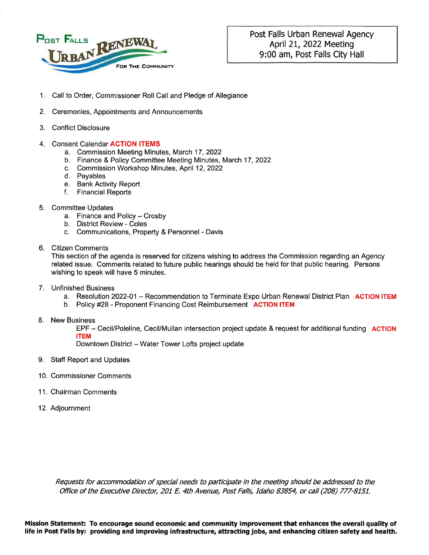

- 1. Call to Order, Commissioner Roll Call and Pledge of Allegiance
- 2. Ceremonies, Appointments and Announcements
- **Conflict Disclosure**  $3<sub>1</sub>$
- 4. Consent Calendar ACTION ITEMS
	- a. Commission Meeting Minutes, March 17, 2022
	- b. Finance & Policy Committee Meeting Minutes, March 17, 2022
		- c. Commission Workshop Minutes, April 12, 2022
		- d. Pavables
		- e. Bank Activity Report
		- f. Financial Reports
- 5. Committee Updates
	- a. Finance and Policy Crosby
	- b. District Review Coles
	- c. Communications, Property & Personnel Davis
- 6. Citizen Comments

This section of the agenda is reserved for citizens wishing to address the Commission regarding an Agency related issue. Comments related to future public hearings should be held for that public hearing. Persons wishing to speak will have 5 minutes.

- 7. Unfinished Business
	- a. Resolution 2022-01 Recommendation to Terminate Expo Urban Renewal District Plan ACTION ITEM
	- b. Policy #28 Proponent Financing Cost Reimbursement ACTION ITEM
- 8. New Business

EPF - Cecil/Poleline, Cecil/Mullan intersection project update & request for additional funding ACTION **ITEM** 

Downtown District - Water Tower Lofts project update

- 9. Staff Report and Updates
- 10. Commissioner Comments
- 11. Chairman Comments
- 12. Adjournment

Requests for accommodation of special needs to participate in the meeting should be addressed to the Office of the Executive Director, 201 E. 4th Avenue, Post Falls, Idaho 83854, or call (208) 777-8151.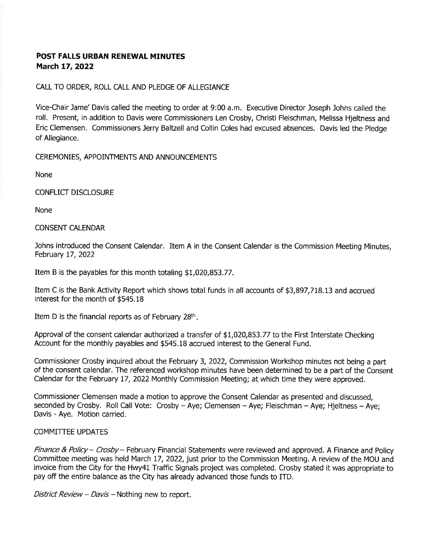### **POST FALLS URBAN RENEWAL MINUTES** March 17, 2022

### CALL TO ORDER, ROLL CALL AND PLEDGE OF ALLEGIANCE

Vice-Chair Jame' Davis called the meeting to order at 9:00 a.m. Executive Director Joseph Johns called the roll. Present, in addition to Davis were Commissioners Len Crosby, Christi Fleischman, Melissa Hieltness and Eric Clemensen. Commissioners Jerry Baltzell and Collin Coles had excused absences. Davis led the Pledge of Allegiance.

CEREMONIES, APPOINTMENTS AND ANNOUNCEMENTS

None

**CONFLICT DISCLOSURE** 

**None** 

### **CONSENT CALENDAR**

Johns introduced the Consent Calendar. Item A in the Consent Calendar is the Commission Meeting Minutes, February 17, 2022

Item B is the payables for this month totaling \$1,020,853.77.

Item C is the Bank Activity Report which shows total funds in all accounts of \$3,897,718.13 and accrued interest for the month of \$545.18

Item D is the financial reports as of February  $28<sup>th</sup>$ .

Approval of the consent calendar authorized a transfer of \$1,020,853.77 to the First Interstate Checking Account for the monthly payables and \$545.18 accrued interest to the General Fund.

Commissioner Crosby inquired about the February 3, 2022, Commission Workshop minutes not being a part of the consent calendar. The referenced workshop minutes have been determined to be a part of the Consent Calendar for the February 17, 2022 Monthly Commission Meeting; at which time they were approved.

Commissioner Clemensen made a motion to approve the Consent Calendar as presented and discussed, seconded by Crosby. Roll Call Vote: Crosby - Aye; Clemensen - Aye; Fleischman - Aye; Hieltness - Aye; Davis - Aye. Motion carried.

### **COMMITTEE UPDATES**

Finance & Policy – Crosby – February Financial Statements were reviewed and approved. A Finance and Policy Committee meeting was held March 17, 2022, just prior to the Commission Meeting. A review of the MOU and invoice from the City for the Hwy41 Traffic Signals project was completed. Crosby stated it was appropriate to pay off the entire balance as the City has already advanced those funds to ITD.

District Review - Davis - Nothing new to report.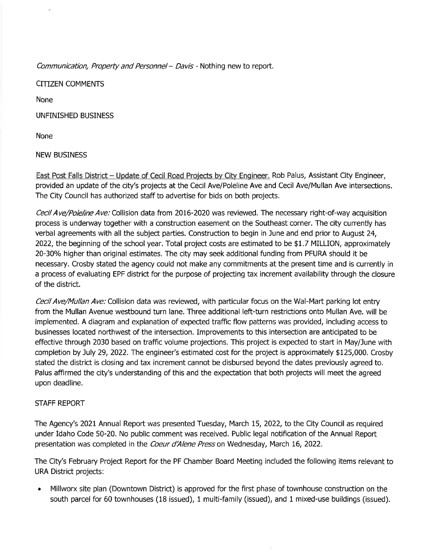Communication, Property and Personnel - Davis - Nothing new to report.

**CITIZEN COMMENTS** 

**None** 

**UNFINISHED BUSINESS** 

None

### **NEW BUSINESS**

East Post Falls District - Update of Cecil Road Projects by City Engineer. Rob Palus, Assistant City Engineer, provided an update of the city's projects at the Cecil Ave/Poleline Ave and Cecil Ave/Mullan Ave intersections. The City Council has authorized staff to advertise for bids on both projects.

Cecil Ave/Poleline Ave: Collision data from 2016-2020 was reviewed. The necessary right-of-way acquisition process is underway together with a construction easement on the Southeast corner. The city currently has verbal agreements with all the subject parties. Construction to begin in June and end prior to August 24, 2022, the beginning of the school year. Total project costs are estimated to be \$1.7 MILLION, approximately 20-30% higher than original estimates. The city may seek additional funding from PFURA should it be necessary. Crosby stated the agency could not make any commitments at the present time and is currently in a process of evaluating EPF district for the purpose of projecting tax increment availability through the closure of the district.

Cecil Ave/Mullan Ave: Collision data was reviewed, with particular focus on the Wal-Mart parking lot entry from the Mullan Avenue westbound turn lane. Three additional left-turn restrictions onto Mullan Ave. will be implemented. A diagram and explanation of expected traffic flow patterns was provided, including access to businesses located northwest of the intersection. Improvements to this intersection are anticipated to be effective through 2030 based on traffic volume projections. This project is expected to start in May/June with completion by July 29, 2022. The engineer's estimated cost for the project is approximately \$125,000. Crosby stated the district is closing and tax increment cannot be disbursed beyond the dates previously agreed to. Palus affirmed the city's understanding of this and the expectation that both projects will meet the agreed upon deadline.

### **STAFF REPORT**

The Agency's 2021 Annual Report was presented Tuesday, March 15, 2022, to the City Council as required under Idaho Code 50-20. No public comment was received. Public legal notification of the Annual Report presentation was completed in the Coeur d'Alene Press on Wednesday, March 16, 2022.

The City's February Project Report for the PF Chamber Board Meeting included the following items relevant to **URA District projects:** 

 $\bullet$ Millworx site plan (Downtown District) is approved for the first phase of townhouse construction on the south parcel for 60 townhouses (18 issued), 1 multi-family (issued), and 1 mixed-use buildings (issued).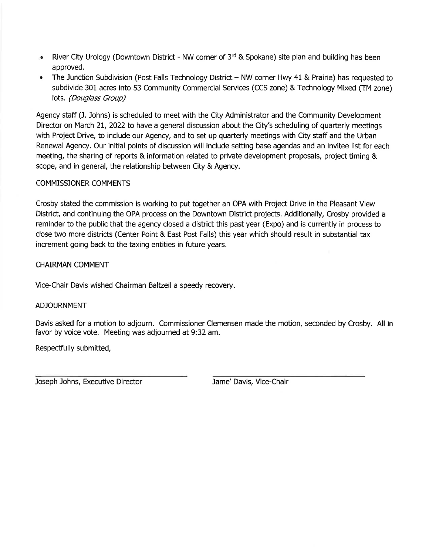- River City Urology (Downtown District NW corner of  $3<sup>rd</sup>$  & Spokane) site plan and building has been approved.
- The Junction Subdivision (Post Falls Technology District NW corner Hwy 41 & Prairie) has requested to subdivide 301 acres into 53 Community Commercial Services (CCS zone) & Technology Mixed (TM zone) lots. (Douglass Group)

Agency staff (J. Johns) is scheduled to meet with the City Administrator and the Community Development Director on March 21, 2022 to have a general discussion about the City's scheduling of quarterly meetings with Project Drive, to include our Agency, and to set up quarterly meetings with City staff and the Urban Renewal Agency. Our initial points of discussion will include setting base agendas and an invitee list for each meeting, the sharing of reports & information related to private development proposals, project timing & scope, and in general, the relationship between City & Agency.

### **COMMISSIONER COMMENTS**

Crosby stated the commission is working to put together an OPA with Project Drive in the Pleasant View District, and continuing the OPA process on the Downtown District projects. Additionally, Crosby provided a reminder to the public that the agency closed a district this past year (Expo) and is currently in process to close two more districts (Center Point & East Post Falls) this year which should result in substantial tax increment going back to the taxing entities in future years.

**CHAIRMAN COMMENT** 

Vice-Chair Davis wished Chairman Baltzell a speedy recovery.

### **ADJOURNMENT**

Davis asked for a motion to adjourn. Commissioner Clemensen made the motion, seconded by Crosby. All in favor by voice vote. Meeting was adjourned at 9:32 am.

Respectfully submitted,

Joseph Johns, Executive Director

Jame' Davis, Vice-Chair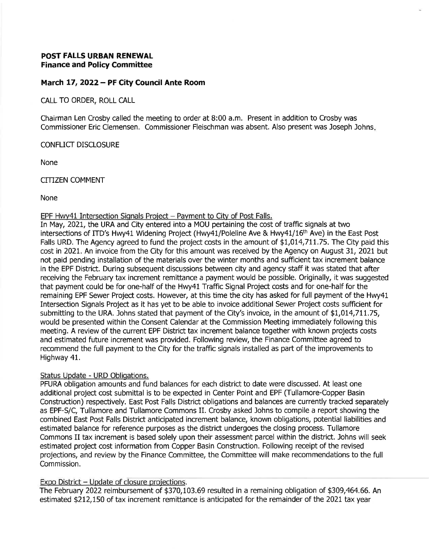### **POST FALLS URBAN RENEWAL Finance and Policy Committee**

### March 17, 2022 - PF City Council Ante Room

CALL TO ORDER, ROLL CALL

Chairman Len Crosby called the meeting to order at 8:00 a.m. Present in addition to Crosby was Commissioner Eric Clemensen. Commissioner Fleischman was absent. Also present was Joseph Johns.

CONFLICT DISCLOSURE

**None** 

**CITIZEN COMMENT** 

**None** 

### EPF Hwy41 Intersection Signals Project - Payment to City of Post Falls.

In May, 2021, the URA and City entered into a MOU pertaining the cost of traffic signals at two intersections of ITD's Hwy41 Widening Project (Hwy41/Poleline Ave & Hwy41/16<sup>th</sup> Ave) in the East Post Falls URD. The Agency agreed to fund the project costs in the amount of \$1,014,711.75. The City paid this cost in 2021. An invoice from the City for this amount was received by the Agency on August 31, 2021 but not paid pending installation of the materials over the winter months and sufficient tax increment balance in the EPF District. During subsequent discussions between city and agency staff it was stated that after receiving the February tax increment remittance a payment would be possible. Originally, it was suggested that payment could be for one-half of the Hwy41 Traffic Signal Project costs and for one-half for the remaining EPF Sewer Project costs. However, at this time the city has asked for full payment of the Hwy41 Intersection Signals Project as it has yet to be able to invoice additional Sewer Project costs sufficient for submitting to the URA. Johns stated that payment of the City's invoice, in the amount of \$1,014,711.75, would be presented within the Consent Calendar at the Commission Meeting immediately following this meeting. A review of the current EPF District tax increment balance together with known projects costs and estimated future increment was provided. Following review, the Finance Committee agreed to recommend the full payment to the City for the traffic signals installed as part of the improvements to Highway 41.

### Status Update - URD Obligations.

PFURA obligation amounts and fund balances for each district to date were discussed. At least one additional project cost submittal is to be expected in Center Point and EPF (Tullamore-Copper Basin Construction) respectively. East Post Falls District obligations and balances are currently tracked separately as EPF-S/C. Tullamore and Tullamore Commons II. Crosby asked Johns to compile a report showing the combined East Post Falls District anticipated increment balance, known obligations, potential liabilities and estimated balance for reference purposes as the district undergoes the closing process. Tullamore Commons II tax increment is based solely upon their assessment parcel within the district. Johns will seek estimated project cost information from Copper Basin Construction. Following receipt of the revised projections, and review by the Finance Committee, the Committee will make recommendations to the full Commission.

### Expo District - Update of closure projections.

The February 2022 reimbursement of \$370,103.69 resulted in a remaining obligation of \$309,464.66. An estimated \$212,150 of tax increment remittance is anticipated for the remainder of the 2021 tax year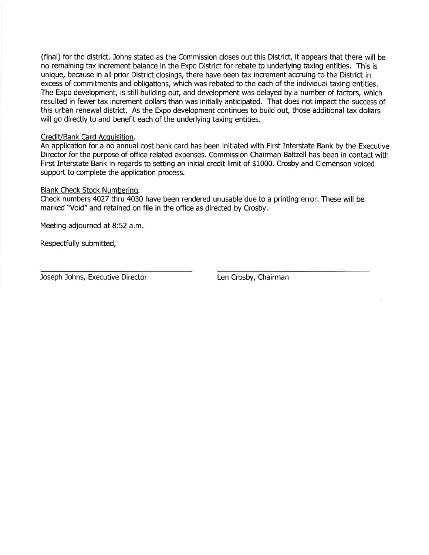(final) for the district. Johns stated as the Commission closes out this District, it appears that there will be no remaining tax increment balance in the Expo District for rebate to underlying taxing entities. This is unique, because in all prior District closings, there have been tax increment accruing to the District in excess of commitments and obligations, which was rebated to the each of the individual taxing entities. The Expo development, is still building out, and development was delayed by a number of factors, which resulted in fewer tax increment dollars than was initially anticipated. That does not impact the success of this urban renewal district. As the Expo development continues to build out, those additional tax dollars will go directly to and benefit each of the underlying taxing entities.

### Credit/Bank Card Acquisition

An application for a no annual cost bank card has been initiated with First Interstate Bank by the Executive Director for the purpose of office related expenses. Commission Chairman Baltzell has been in contact with First Interstate Bank in regards to setting an initial credit limit of \$1000. Crosby and Clemenson voiced support to complete the application process.

### Blank Check Stock Numbering.

Check numbers 4027 thru 4030 have been rendered unusable due to a printing error. These will be marked "Void" and retained on file in the office as directed by Crosby.

Meeting adjourned at 8:52 a.m.

Respectfully submitted,

Joseph Johns, Executive Director

Len Crosby, Chairman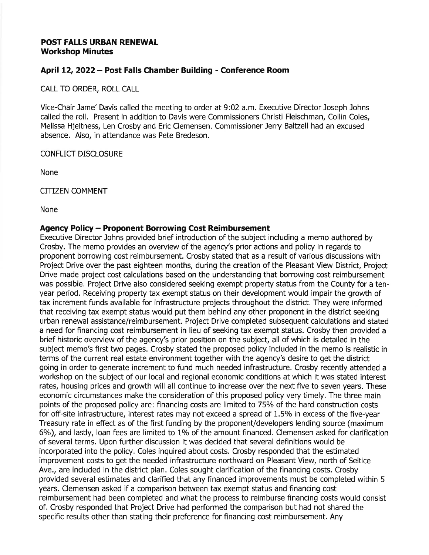### POST FALLS URBAN RENEWAL **Workshop Minutes**

### April 12, 2022 - Post Falls Chamber Building - Conference Room

CALL TO ORDER, ROLL CALL

Vice-Chair Jame' Davis called the meeting to order at 9:02 a.m. Executive Director Joseph Johns called the roll. Present in addition to Davis were Commissioners Christi Fleischman, Collin Coles, Melissa Hjeltness, Len Crosby and Eric Clemensen. Commissioner Jerry Baltzell had an excused absence. Also, in attendance was Pete Bredeson.

**CONFLICT DISCLOSURE** 

None

**CITIZEN COMMENT** 

None

### Agency Policy - Proponent Borrowing Cost Reimbursement

Executive Director Johns provided brief introduction of the subject including a memo authored by Crosby. The memo provides an overview of the agency's prior actions and policy in regards to proponent borrowing cost reimbursement. Crosby stated that as a result of various discussions with Project Drive over the past eighteen months, during the creation of the Pleasant View District, Project Drive made project cost calculations based on the understanding that borrowing cost reimbursement was possible. Project Drive also considered seeking exempt property status from the County for a tenyear period. Receiving property tax exempt status on their development would impair the growth of tax increment funds available for infrastructure projects throughout the district. They were informed that receiving tax exempt status would put them behind any other proponent in the district seeking urban renewal assistance/reimbursement. Project Drive completed subsequent calculations and stated a need for financing cost reimbursement in lieu of seeking tax exempt status. Crosby then provided a brief historic overview of the agency's prior position on the subject, all of which is detailed in the subject memo's first two pages. Crosby stated the proposed policy included in the memo is realistic in terms of the current real estate environment together with the agency's desire to get the district going in order to generate increment to fund much needed infrastructure. Crosby recently attended a workshop on the subject of our local and regional economic conditions at which it was stated interest rates, housing prices and growth will all continue to increase over the next five to seven years. These economic circumstances make the consideration of this proposed policy very timely. The three main points of the proposed policy are: financing costs are limited to 75% of the hard construction costs for off-site infrastructure, interest rates may not exceed a spread of 1.5% in excess of the five-year Treasury rate in effect as of the first funding by the proponent/developers lending source (maximum 6%), and lastly, loan fees are limited to 1% of the amount financed. Clemensen asked for clarification of several terms. Upon further discussion it was decided that several definitions would be incorporated into the policy. Coles inquired about costs. Crosby responded that the estimated improvement costs to get the needed infrastructure northward on Pleasant View, north of Seltice Ave., are included in the district plan. Coles sought clarification of the financing costs. Crosby provided several estimates and clarified that any financed improvements must be completed within 5 years. Clemensen asked if a comparison between tax exempt status and financing cost reimbursement had been completed and what the process to reimburse financing costs would consist of. Crosby responded that Project Drive had performed the comparison but had not shared the specific results other than stating their preference for financing cost reimbursement. Any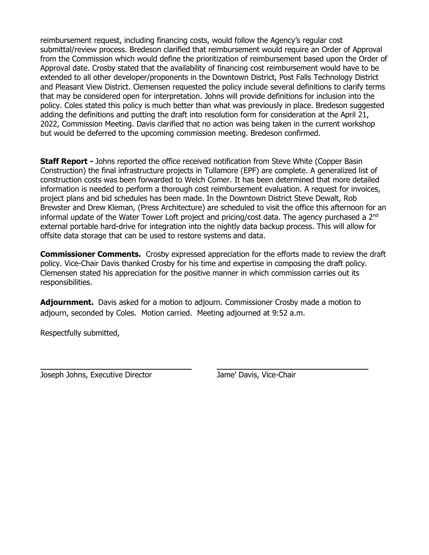reimbursement request, including financing costs, would follow the Agency's regular cost submittal/review process. Bredeson clarified that reimbursement would require an Order of Approval from the Commission which would define the prioritization of reimbursement based upon the Order of Approval date. Crosby stated that the availability of financing cost reimbursement would have to be extended to all other developer/proponents in the Downtown District, Post Falls Technology District and Pleasant View District. Clemensen requested the policy include several definitions to clarify terms that may be considered open for interpretation. Johns will provide definitions for inclusion into the policy. Coles stated this policy is much better than what was previously in place. Bredeson suggested adding the definitions and putting the draft into resolution form for consideration at the April 21, 2022, Commission Meeting. Davis clarified that no action was being taken in the current workshop but would be deferred to the upcoming commission meeting. Bredeson confirmed.

**Staff Report -** Johns reported the office received notification from Steve White (Copper Basin Construction) the final infrastructure projects in Tullamore (EPF) are complete. A generalized list of construction costs was been forwarded to Welch Comer. It has been determined that more detailed information is needed to perform a thorough cost reimbursement evaluation. A request for invoices, project plans and bid schedules has been made. In the Downtown District Steve Dewalt, Rob Brewster and Drew Kleman, (Press Architecture) are scheduled to visit the office this afternoon for an informal update of the Water Tower Loft project and pricing/cost data. The agency purchased a  $2^{nd}$ external portable hard-drive for integration into the nightly data backup process. This will allow for offsite data storage that can be used to restore systems and data.

**Commissioner Comments.** Crosby expressed appreciation for the efforts made to review the draft policy. Vice-Chair Davis thanked Crosby for his time and expertise in composing the draft policy. Clemensen stated his appreciation for the positive manner in which commission carries out its responsibilities.

**Adjournment.** Davis asked for a motion to adjourn. Commissioner Crosby made a motion to adjourn, seconded by Coles. Motion carried. Meeting adjourned at 9:52 a.m.

Respectfully submitted,

Joseph Johns, Executive Director Jame' Davis, Vice-Chair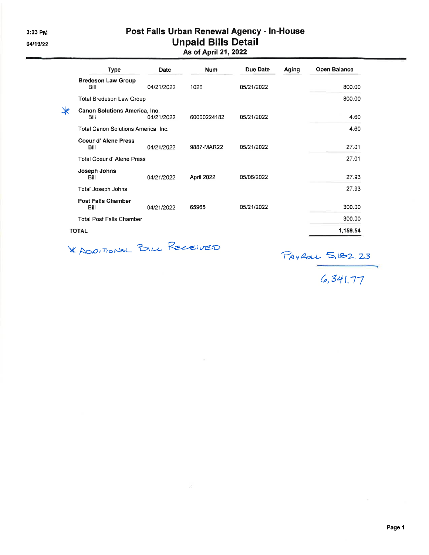# Post Falls Urban Renewal Agency - In-House Unpaid Bills Detail<br>As of April 21, 2022

| Type                                                   | Date       | <b>Num</b>  | Due Date   | Aging | <b>Open Balance</b> |
|--------------------------------------------------------|------------|-------------|------------|-------|---------------------|
| <b>Bredeson Law Group</b><br>Bill                      | 04/21/2022 | 1026        | 05/21/2022 |       | 800.00              |
| <b>Total Bredeson Law Group</b>                        |            |             |            |       | 800.00              |
| $\ast$<br><b>Canon Solutions America, Inc.</b><br>Bill | 04/21/2022 | 60000224182 | 05/21/2022 |       | 4.60                |
| Total Canon Solutions America, Inc.                    |            |             |            |       | 4.60                |
| Coeur d'Alene Press<br>Bill                            | 04/21/2022 | 9887-MAR22  | 05/21/2022 |       | 27.01               |
| <b>Total Coeur d'Alene Press</b>                       |            |             |            |       | 27.01               |
| Joseph Johns<br>Bill                                   | 04/21/2022 | April 2022  | 05/06/2022 |       | 27.93               |
| Total Joseph Johns                                     |            |             |            |       | 27.93               |
| <b>Post Falls Chamber</b><br>Bill                      | 04/21/2022 | 65965       | 05/21/2022 |       | 300.00              |
| <b>Total Post Falls Chamber</b>                        |            |             |            |       | 300.00              |
| <b>TOTAL</b>                                           |            |             |            |       | 1,159.54            |

 $\mathcal{L}_{\text{max}}$  .

\* ADDITIONAL BILL RECEIVED

PAYROL 5,182.23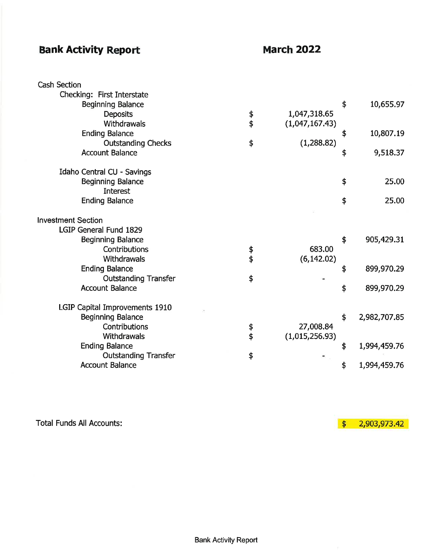# **Bank Activity Report**

# **March 2022**

| <b>Cash Section</b>            |               |                |                    |
|--------------------------------|---------------|----------------|--------------------|
| Checking: First Interstate     |               |                |                    |
| <b>Beginning Balance</b>       |               |                | \$<br>10,655.97    |
| <b>Deposits</b>                |               | 1,047,318.65   |                    |
| Withdrawals                    | $\frac{4}{9}$ | (1,047,167.43) |                    |
| <b>Ending Balance</b>          |               |                | \$<br>10,807.19    |
| <b>Outstanding Checks</b>      | \$            | (1,288.82)     |                    |
| <b>Account Balance</b>         |               |                | \$<br>9,518.37     |
| Idaho Central CU - Savings     |               |                |                    |
| <b>Beginning Balance</b>       |               |                | \$<br>25.00        |
| <b>Interest</b>                |               |                |                    |
| <b>Ending Balance</b>          |               |                | \$<br>25.00        |
| <b>Investment Section</b>      |               |                |                    |
| LGIP General Fund 1829         |               |                |                    |
| <b>Beginning Balance</b>       |               |                | \$<br>905,429.31   |
| Contributions                  |               | 683.00         |                    |
| Withdrawals                    | \$<br>\$      | (6, 142.02)    |                    |
| <b>Ending Balance</b>          |               |                | \$<br>899,970.29   |
| <b>Outstanding Transfer</b>    | \$            |                |                    |
| <b>Account Balance</b>         |               |                | \$<br>899,970.29   |
| LGIP Capital Improvements 1910 |               |                |                    |
| <b>Beginning Balance</b>       |               |                | \$<br>2,982,707.85 |
| Contributions                  | \$            | 27,008.84      |                    |
| Withdrawals                    | \$            | (1,015,256.93) |                    |
| <b>Ending Balance</b>          |               |                | \$<br>1,994,459.76 |
| <b>Outstanding Transfer</b>    | \$            |                |                    |
| <b>Account Balance</b>         |               |                | \$<br>1,994,459.76 |

**Total Funds All Accounts:** 

 $$2,903,973.42$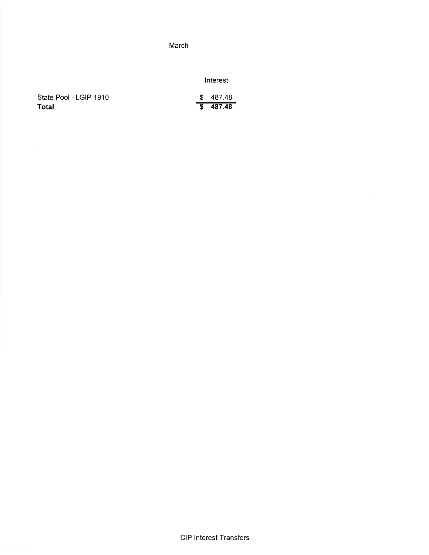### March

Interest

|       | State Pool - LGIP 1910 |  |
|-------|------------------------|--|
| Total |                        |  |

| 487.48 |
|--------|
| 487.48 |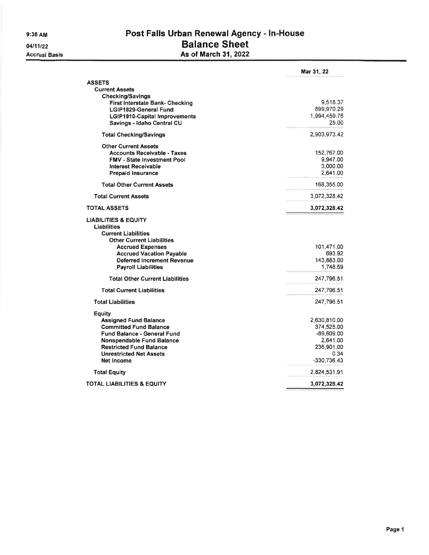04/11/22 **Accrual Basis** 

### Post Falls Urban Renewal Agency - In-House **Balance Sheet** As of March 31, 2022

|                                        | Mar 31, 22   |
|----------------------------------------|--------------|
| <b>ASSETS</b>                          |              |
| <b>Current Assets</b>                  |              |
| Checking/Savings                       |              |
| First Interstate Bank- Checking        | 9,518.37     |
| LGIP1829-General Fund                  | 899,970.29   |
| <b>LGIP1910-Capital Improvements</b>   | 1,994,459.76 |
| Savings - Idaho Central CU             | 25.00        |
| <b>Total Checking/Savings</b>          | 2,903,973.42 |
| <b>Other Current Assets</b>            |              |
| <b>Accounts Receivable - Taxes</b>     | 152,767.00   |
| <b>FMV - State Investment Pool</b>     | 9,947.00     |
| <b>Interest Receivable</b>             | 3,000.00     |
| <b>Prepaid Insurance</b>               | 2,641.00     |
| <b>Total Other Current Assets</b>      | 168,355.00   |
| <b>Total Current Assets</b>            | 3,072,328,42 |
| <b>TOTAL ASSETS</b>                    | 3,072,328.42 |
| <b>LIABILITIES &amp; EQUITY</b>        |              |
| Liabilities                            |              |
| <b>Current Liabilities</b>             |              |
| <b>Other Current Liabilities</b>       |              |
| <b>Accrued Expenses</b>                | 101,471,00   |
| <b>Accrued Vacation Pavable</b>        | 693.92       |
| <b>Deferred Increment Revenue</b>      | 143,883.00   |
| <b>Payroll Liabilities</b>             | 1.748.59     |
| <b>Total Other Current Liabilities</b> | 247,796.51   |
| <b>Total Current Liabilities</b>       | 247,796.51   |
| <b>Total Liabilities</b>               | 247,796.51   |
| Equity                                 |              |
| <b>Assigned Fund Balance</b>           | 2,630,810.00 |
| <b>Committed Fund Balance</b>          | 374,525.00   |
| <b>Fund Balance - General Fund</b>     | $-89,609.00$ |
| <b>Nonspendable Fund Balance</b>       | 2,641.00     |
| <b>Restricted Fund Balance</b>         | 236,901.00   |
| <b>Unrestricted Net Assets</b>         | 0.34         |
| Net Income                             | -330,736.43  |
| <b>Total Equity</b>                    | 2,824,531.91 |
| TOTAL LIABILITIES & EQUITY             | 3,072,328.42 |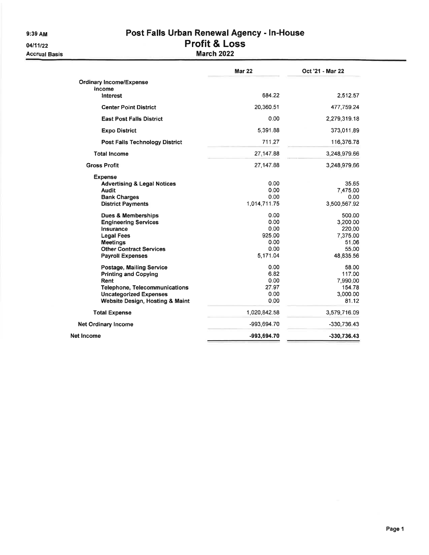9:39 AM

# Post Falls Urban Renewal Agency - In-House<br>Profit & Loss

04/11/22 **Accrual Basis** 

|  |  | ′ΓΟΠΙ & LOS |  |  |  |
|--|--|-------------|--|--|--|
|  |  | Baill anna  |  |  |  |

### **March 2022**

|                                                                                                                                                                                | <b>Mar 22</b>                                              | Oct '21 - Mar 22                                                        |
|--------------------------------------------------------------------------------------------------------------------------------------------------------------------------------|------------------------------------------------------------|-------------------------------------------------------------------------|
| <b>Ordinary Income/Expense</b>                                                                                                                                                 |                                                            |                                                                         |
| Income<br>Interest                                                                                                                                                             | 684.22                                                     | 2,512.57                                                                |
| <b>Center Point District</b>                                                                                                                                                   | 20,360.51                                                  | 477,759.24                                                              |
| <b>East Post Falls District</b>                                                                                                                                                | 0.00                                                       | 2,279,319.18                                                            |
| <b>Expo District</b>                                                                                                                                                           | 5,391.88                                                   | 373,011.89                                                              |
| <b>Post Falls Technology District</b>                                                                                                                                          | 711.27                                                     | 116,376.78                                                              |
| <b>Total Income</b>                                                                                                                                                            | 27.147.88                                                  | 3,248,979.66                                                            |
| <b>Gross Profit</b>                                                                                                                                                            | 27,147.88                                                  | 3,248,979.66                                                            |
| <b>Expense</b><br><b>Advertising &amp; Legal Notices</b><br><b>Audit</b><br><b>Bank Charges</b><br><b>District Payments</b>                                                    | 0.00<br>0.00<br>0.00<br>1,014,711.75                       | 35.65<br>7,475.00<br>0.00<br>3,500,567.92                               |
| <b>Dues &amp; Memberships</b><br><b>Engineering Services</b><br>Insurance<br><b>Legal Fees</b><br><b>Meetings</b><br><b>Other Contract Services</b><br><b>Payroll Expenses</b> | 0.00<br>0.00<br>0.00<br>925.00<br>0.00<br>0.00<br>5,171.04 | 500.00<br>3,200.00<br>220.00<br>7,375.00<br>51.06<br>55.00<br>48,835.56 |
| Postage, Mailing Service<br><b>Printing and Copying</b><br>Rent<br><b>Telephone, Telecommunications</b><br><b>Uncategorized Expenses</b><br>Website Design, Hosting & Maint    | 0.00<br>6.82<br>0.00<br>27.97<br>0.00<br>0.00              | 58.00<br>117.00<br>7,990.00<br>154.78<br>3,000.00<br>81.12              |
| <b>Total Expense</b>                                                                                                                                                           | 1,020,842.58                                               | 3,579,716.09                                                            |
| <b>Net Ordinary Income</b>                                                                                                                                                     | -993,694.70                                                | $-330,736.43$                                                           |
| Net Income                                                                                                                                                                     | -993,694.70                                                | $-330,736.43$                                                           |
|                                                                                                                                                                                |                                                            |                                                                         |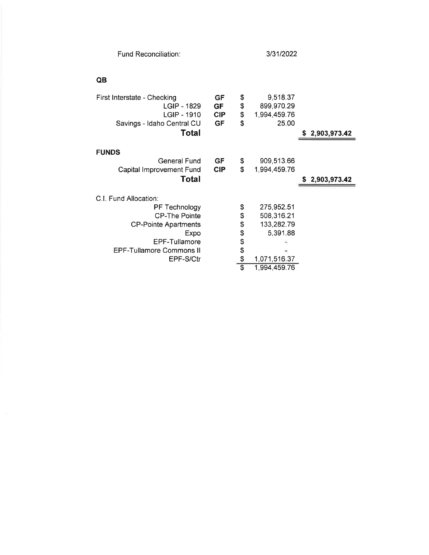|  | <b>Fund Reconciliation:</b> |
|--|-----------------------------|
|--|-----------------------------|

### $\pmb{\mathsf{QB}}$

| First Interstate - Checking     | GF         | \$                    | 9,518.37     |                |
|---------------------------------|------------|-----------------------|--------------|----------------|
| LGIP - 1829                     | <b>GF</b>  | \$                    | 899,970.29   |                |
| LGIP - 1910                     | <b>CIP</b> | \$                    | 1,994,459.76 |                |
| Savings - Idaho Central CU      | GF         | \$                    | 25.00        |                |
| Total                           |            |                       |              | 2,903,973.42   |
|                                 |            |                       |              |                |
| <b>FUNDS</b>                    |            |                       |              |                |
| <b>General Fund</b>             | <b>GF</b>  | \$                    | 909,513.66   |                |
| Capital Improvement Fund        | <b>CIP</b> | \$                    | 1,994,459.76 |                |
| <b>Total</b>                    |            |                       |              | \$2,903,973.42 |
|                                 |            |                       |              |                |
|                                 |            |                       |              |                |
| C.I. Fund Allocation:           |            |                       |              |                |
| PF Technology                   |            | \$                    | 275,952.51   |                |
| <b>CP-The Pointe</b>            |            | \$                    | 508,316.21   |                |
| <b>CP-Pointe Apartments</b>     |            | \$                    | 133,282.79   |                |
| Expo                            |            | \$                    | 5,391.88     |                |
| EPF-Tullamore                   |            |                       |              |                |
| <b>EPF-Tullamore Commons II</b> |            | \$<br>\$              |              |                |
| EPF-S/Ctr                       |            | \$<br>$\overline{\$}$ | 1,071,516.37 |                |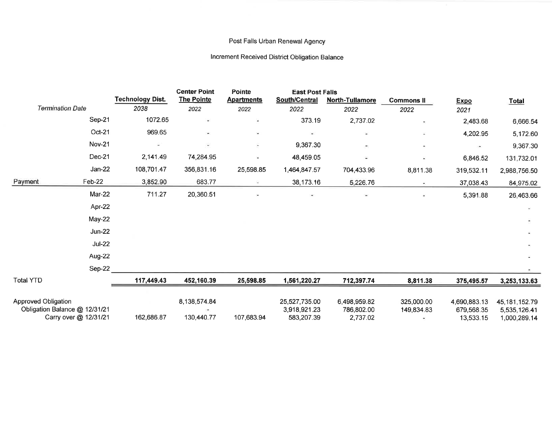### Post Falls Urban Renewal Agency

### Increment Received District Obligation Balance

|                            |                                                        |                         | <b>Center Point</b>        | Pointe            | <b>East Post Falls</b>                      |                                        |                          |                                         |                                                  |
|----------------------------|--------------------------------------------------------|-------------------------|----------------------------|-------------------|---------------------------------------------|----------------------------------------|--------------------------|-----------------------------------------|--------------------------------------------------|
|                            |                                                        | <b>Technology Dist.</b> | <b>The Pointe</b>          | <b>Apartments</b> | <b>South/Central</b>                        | <b>North-Tullamore</b>                 | <b>Commons II</b>        | <b>Expo</b>                             | <b>Total</b>                                     |
|                            | <b>Termination Date</b>                                | 2038                    | 2022                       | 2022              | 2022                                        | 2022                                   | 2022                     | 2021                                    |                                                  |
|                            | Sep-21                                                 | 1072.65                 |                            | ۰                 | 373.19                                      | 2,737.02                               | $\overline{\phantom{a}}$ | 2,483.68                                | 6,666.54                                         |
|                            | Oct-21                                                 | 969.65                  | ۰                          | ٠                 |                                             | $\sim$                                 | Ξ                        | 4,202.95                                | 5,172.60                                         |
|                            | <b>Nov-21</b>                                          |                         | $\overline{\phantom{a}}$   | ٠                 | 9,367.30                                    | ÷                                      | $\star$                  | i er                                    | 9,367.30                                         |
|                            | Dec-21                                                 | 2,141.49                | 74,284.95                  |                   | 48,459.05                                   | ÷                                      | Щ                        | 6,846.52                                | 131,732.01                                       |
|                            | Jan-22                                                 | 108,701.47              | 356,831.16                 | 25,598.85         | 1,464,847.57                                | 704,433.96                             | 8,811.38                 | 319,532.11                              | 2,988,756.50                                     |
| Payment                    | Feb-22                                                 | 3,852.90                | 683.77                     | Ξ                 | 38,173.16                                   | 5,226.76                               | $\sim$                   | 37,038.43                               | 84,975.02                                        |
|                            | <b>Mar-22</b>                                          | 711.27                  | 20,360.51                  |                   |                                             | Ξ                                      | 星                        | 5,391.88                                | 26,463.66                                        |
|                            | Apr-22                                                 |                         |                            |                   |                                             |                                        |                          |                                         |                                                  |
|                            | May-22                                                 |                         |                            |                   |                                             |                                        |                          |                                         |                                                  |
|                            | $Jun-22$                                               |                         |                            |                   |                                             |                                        |                          |                                         |                                                  |
|                            | $Jul-22$                                               |                         |                            |                   |                                             |                                        |                          |                                         |                                                  |
|                            | Aug-22                                                 |                         |                            |                   |                                             |                                        |                          |                                         |                                                  |
|                            | Sep-22                                                 |                         |                            |                   |                                             |                                        |                          |                                         |                                                  |
| <b>Total YTD</b>           |                                                        | 117,449.43              | 452,160.39                 | 25,598.85         | 1,561,220.27                                | 712,397.74                             | 8,811.38                 | 375,495.57                              | 3,253,133.63                                     |
| <b>Approved Obligation</b> | Obligation Balance @ 12/31/21<br>Carry over @ 12/31/21 | 162,686.87              | 8,138,574.84<br>130,440.77 | 107,683.94        | 25,527,735.00<br>3,918,921.23<br>583,207.39 | 6,498,959.82<br>786,802.00<br>2,737.02 | 325,000.00<br>149,834.83 | 4,690,883.13<br>679,568.35<br>13,533.15 | 45, 181, 152. 79<br>5,535,126.41<br>1,000,289.14 |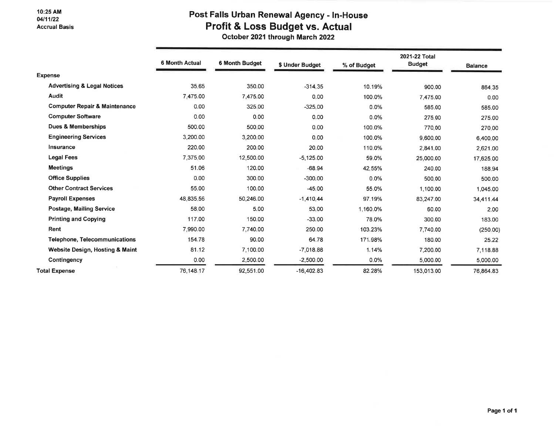### 10:25 AM 04/11/22 **Accrual Basis**

## Post Falls Urban Renewal Agency - In-House Profit & Loss Budget vs. Actual

October 2021 through March 2022

|                                          | <b>6 Month Actual</b> | 6 Month Budget | \$ Under Budget | % of Budget | 2021-22 Total<br><b>Budget</b> | <b>Balance</b> |
|------------------------------------------|-----------------------|----------------|-----------------|-------------|--------------------------------|----------------|
| <b>Expense</b>                           |                       |                |                 |             |                                |                |
| <b>Advertising &amp; Legal Notices</b>   | 35.65                 | 350.00         | $-314.35$       | 10.19%      | 900.00                         | 864.35         |
| <b>Audit</b>                             | 7,475.00              | 7,475.00       | 0.00            | 100.0%      | 7,475.00                       | 0.00           |
| <b>Computer Repair &amp; Maintenance</b> | 0.00                  | 325.00         | $-325.00$       | 0.0%        | 585.00                         | 585.00         |
| <b>Computer Software</b>                 | 0.00                  | 0.00           | 0.00            | 0.0%        | 275.00                         | 275.00         |
| <b>Dues &amp; Memberships</b>            | 500.00                | 500.00         | 0.00            | 100.0%      | 770.00                         | 270.00         |
| <b>Engineering Services</b>              | 3,200.00              | 3,200.00       | 0.00            | 100.0%      | 9,600.00                       | 6,400.00       |
| Insurance                                | 220.00                | 200.00         | 20.00           | 110.0%      | 2.841.00                       | 2,621.00       |
| <b>Legal Fees</b>                        | 7,375.00              | 12,500.00      | $-5,125.00$     | 59.0%       | 25,000.00                      | 17,625.00      |
| <b>Meetings</b>                          | 51.06                 | 120.00         | $-68.94$        | 42.55%      | 240.00                         | 188.94         |
| <b>Office Supplies</b>                   | 0.00                  | 300.00         | $-300.00$       | 0.0%        | 500.00                         | 500.00         |
| <b>Other Contract Services</b>           | 55.00                 | 100.00         | $-45.00$        | 55.0%       | 1,100.00                       | 1,045.00       |
| <b>Payroll Expenses</b>                  | 48,835.56             | 50,246.00      | $-1,410.44$     | 97.19%      | 83,247.00                      | 34,411.44      |
| <b>Postage, Mailing Service</b>          | 58.00                 | 5.00           | 53.00           | 1,160.0%    | 60.00                          | 2.00           |
| <b>Printing and Copying</b>              | 117.00                | 150.00         | $-33.00$        | 78.0%       | 300.00                         | 183.00         |
| Rent                                     | 7,990.00              | 7.740.00       | 250.00          | 103.23%     | 7,740.00                       | (250.00)       |
| <b>Telephone, Telecommunications</b>     | 154.78                | 90.00          | 64.78           | 171.98%     | 180.00                         | 25.22          |
| Website Design, Hosting & Maint          | 81.12                 | 7,100.00       | $-7.018.88$     | 1.14%       | 7,200.00                       | 7,118.88       |
| Contingency                              | 0.00                  | 2,500.00       | $-2,500.00$     | 0.0%        | 5,000.00                       | 5.000.00       |
| <b>Total Expense</b>                     | 76,148.17             | 92,551.00      | $-16,402.83$    | 82.28%      | 153,013.00                     | 76.864.83      |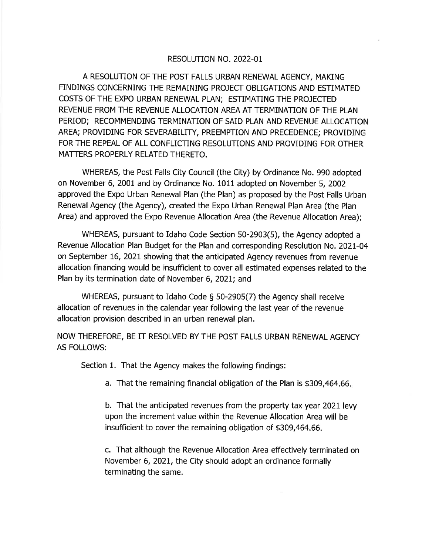### RESOLUTION NO. 2022-01

A RESOLUTION OF THE POST FALLS URBAN RENEWAL AGENCY, MAKING FINDINGS CONCERNING THE REMAINING PROJECT OBLIGATIONS AND ESTIMATED COSTS OF THE EXPO URBAN RENEWAL PLAN: ESTIMATING THE PROJECTED REVENUE FROM THE REVENUE ALLOCATION AREA AT TERMINATION OF THE PLAN PERIOD; RECOMMENDING TERMINATION OF SAID PLAN AND REVENUE ALLOCATION AREA; PROVIDING FOR SEVERABILITY, PREEMPTION AND PRECEDENCE; PROVIDING FOR THE REPEAL OF ALL CONFLICTING RESOLUTIONS AND PROVIDING FOR OTHER MATTERS PROPERLY RELATED THERETO.

WHEREAS, the Post Falls City Council (the City) by Ordinance No. 990 adopted on November 6, 2001 and by Ordinance No. 1011 adopted on November 5, 2002 approved the Expo Urban Renewal Plan (the Plan) as proposed by the Post Falls Urban Renewal Agency (the Agency), created the Expo Urban Renewal Plan Area (the Plan Area) and approved the Expo Revenue Allocation Area (the Revenue Allocation Area);

WHEREAS, pursuant to Idaho Code Section 50-2903(5), the Agency adopted a Revenue Allocation Plan Budget for the Plan and corresponding Resolution No. 2021-04 on September 16, 2021 showing that the anticipated Agency revenues from revenue allocation financing would be insufficient to cover all estimated expenses related to the Plan by its termination date of November 6, 2021; and

WHEREAS, pursuant to Idaho Code § 50-2905(7) the Agency shall receive allocation of revenues in the calendar year following the last year of the revenue allocation provision described in an urban renewal plan.

NOW THEREFORE, BE IT RESOLVED BY THE POST FALLS URBAN RENEWAL AGENCY **AS FOLLOWS:** 

Section 1. That the Agency makes the following findings:

a. That the remaining financial obligation of the Plan is \$309,464.66.

b. That the anticipated revenues from the property tax year 2021 levy upon the increment value within the Revenue Allocation Area will be insufficient to cover the remaining obligation of \$309,464.66.

c. That although the Revenue Allocation Area effectively terminated on November 6, 2021, the City should adopt an ordinance formally terminating the same.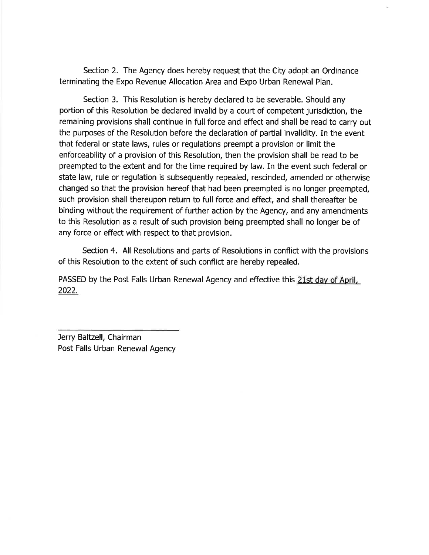Section 2. The Agency does hereby request that the City adopt an Ordinance terminating the Expo Revenue Allocation Area and Expo Urban Renewal Plan.

Section 3. This Resolution is hereby declared to be severable. Should any portion of this Resolution be declared invalid by a court of competent jurisdiction, the remaining provisions shall continue in full force and effect and shall be read to carry out the purposes of the Resolution before the declaration of partial invalidity. In the event that federal or state laws, rules or regulations preempt a provision or limit the enforceability of a provision of this Resolution, then the provision shall be read to be preempted to the extent and for the time required by law. In the event such federal or state law, rule or regulation is subsequently repealed, rescinded, amended or otherwise changed so that the provision hereof that had been preempted is no longer preempted, such provision shall thereupon return to full force and effect, and shall thereafter be binding without the requirement of further action by the Agency, and any amendments to this Resolution as a result of such provision being preempted shall no longer be of any force or effect with respect to that provision.

Section 4. All Resolutions and parts of Resolutions in conflict with the provisions of this Resolution to the extent of such conflict are hereby repealed.

PASSED by the Post Falls Urban Renewal Agency and effective this 21st day of April, 2022.

Jerry Baltzell, Chairman Post Falls Urban Renewal Agency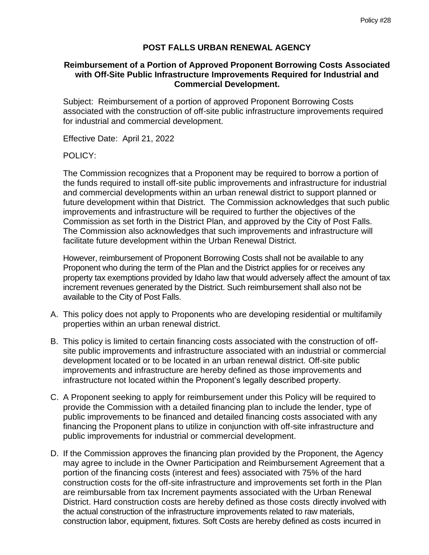### **POST FALLS URBAN RENEWAL AGENCY**

### **Reimbursement of a Portion of Approved Proponent Borrowing Costs Associated with Off-Site Public Infrastructure Improvements Required for Industrial and Commercial Development.**

Subject: Reimbursement of a portion of approved Proponent Borrowing Costs associated with the construction of off-site public infrastructure improvements required for industrial and commercial development.

Effective Date: April 21, 2022

### POLICY:

The Commission recognizes that a Proponent may be required to borrow a portion of the funds required to install off-site public improvements and infrastructure for industrial and commercial developments within an urban renewal district to support planned or future development within that District. The Commission acknowledges that such public improvements and infrastructure will be required to further the objectives of the Commission as set forth in the District Plan, and approved by the City of Post Falls. The Commission also acknowledges that such improvements and infrastructure will facilitate future development within the Urban Renewal District.

However, reimbursement of Proponent Borrowing Costs shall not be available to any Proponent who during the term of the Plan and the District applies for or receives any property tax exemptions provided by Idaho law that would adversely affect the amount of tax increment revenues generated by the District. Such reimbursement shall also not be available to the City of Post Falls.

- A. This policy does not apply to Proponents who are developing residential or multifamily properties within an urban renewal district.
- B. This policy is limited to certain financing costs associated with the construction of offsite public improvements and infrastructure associated with an industrial or commercial development located or to be located in an urban renewal district. Off-site public improvements and infrastructure are hereby defined as those improvements and infrastructure not located within the Proponent's legally described property.
- C. A Proponent seeking to apply for reimbursement under this Policy will be required to provide the Commission with a detailed financing plan to include the lender, type of public improvements to be financed and detailed financing costs associated with any financing the Proponent plans to utilize in conjunction with off-site infrastructure and public improvements for industrial or commercial development.
- D. If the Commission approves the financing plan provided by the Proponent, the Agency may agree to include in the Owner Participation and Reimbursement Agreement that a portion of the financing costs (interest and fees) associated with 75% of the hard construction costs for the off-site infrastructure and improvements set forth in the Plan are reimbursable from tax Increment payments associated with the Urban Renewal District. Hard construction costs are hereby defined as those costs directly involved with the actual construction of the infrastructure improvements related to raw materials, construction labor, equipment, fixtures. Soft Costs are hereby defined as costs incurred in